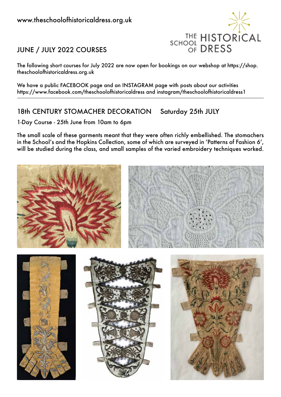

## JUNE / JULY 2022 COURSES

theschoolofhistoricaldress.org.uk

We have a public FACEBOOK page and an INSTAGRAM page with posts about our activities https://www.facebook.com/theschoolofhistoricaldress and instagram/theschoolofhistoricaldress1

### 18th CENTURY STOMACHER DECORATION Saturday 25th JULY

1-Day Course - 25th June from 10am to 6pm

The small scale of these garments meant that they were often richly embellished. The stomachers in the School's and the Hopkins Collection, some of which are surveyed in 'Patterns of Fashion 6', will be studied during the class, and small samples of the varied embroidery techniques worked.

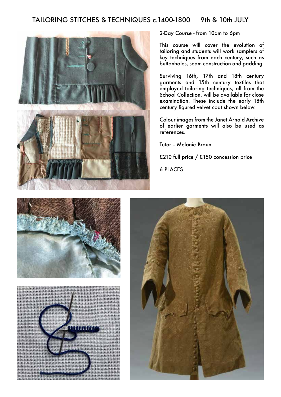#### TAILORING STITCHES & TECHNIQUES c.1400-1800 9th & 10th JULY



2-Day Course - from 10am to 6pm

This course will cover the evolution of tailoring and students will work samplers of key techniques from each century, such as buttonholes, seam construction and padding.

Surviving 16th, 17th and 18th century garments and 15th century textiles that employed tailoring techniques, all from the School Collection, will be available for close examination. These include the early 18th century figured velvet coat shown below.

Colour images from the Janet Arnold Archive of earlier garments will also be used as references.

Tutor -- Melanie Braun

£210 full price / £150 concession price

6 PLACES





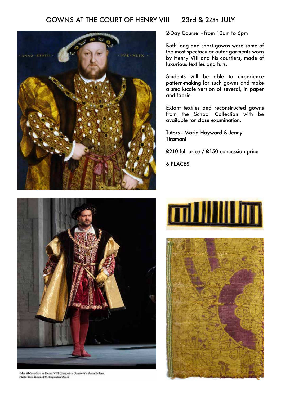#### GOWNS AT THE COURT OF HENRY VIII 23rd & 24th JULY



2-Day Course - from 10am to 6pm

Both long and short gowns were some of the most spectacular outer garments worn by Henry VIII and his courtiers, made of luxurious textiles and furs.

Students will be able to experience pattern-making for such gowns and make a small-scale version of several, in paper and fabric.

Extant textiles and reconstructed gowns from the School Collection with be available for close examination.

Tutors - Maria Hayward & Jenny Tiramani

£210 full price / £150 concession price

6 PLACES



Ildar Abdrazakov as Henry VIII (Enrico) in Donizetti's Anna Bolena. Photo: Ken Howard/Metropolitan Opera

# **millillin**

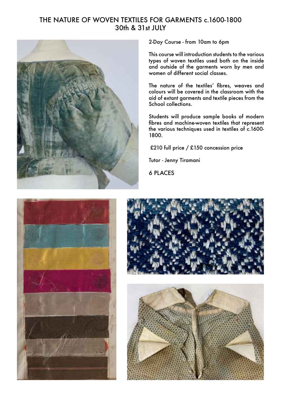#### THE NATURE OF WOVEN TEXTILES FOR GARMENTS c.1600-1800 30th & 31st JULY



2-Day Course - from 10am to 6pm

This course will introduction students to the various types of woven textiles used both on the inside and outside of the garments worn by men and women of different social classes.

The nature of the textiles' fibres, weaves and colours will be covered in the classroom with the aid of extant garments and textile pieces from the School collections.

Students will produce sample books of modern fibres and machine-woven textiles that represent the various techniques used in textiles of c.1600- 1800.

£210 full price / £150 concession price

Tutor - Jenny Tiramani

6 PLACES